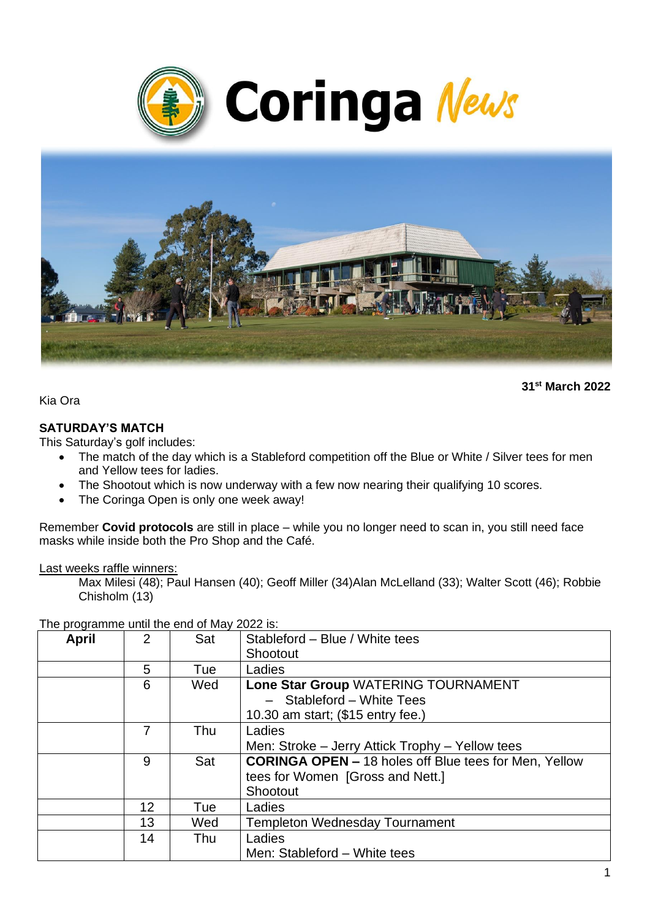



**31st March 2022**

Kia Ora

#### **SATURDAY'S MATCH**

This Saturday's golf includes:

- The match of the day which is a Stableford competition off the Blue or White / Silver tees for men and Yellow tees for ladies.
- The Shootout which is now underway with a few now nearing their qualifying 10 scores.
- The Coringa Open is only one week away!

Remember **Covid protocols** are still in place – while you no longer need to scan in, you still need face masks while inside both the Pro Shop and the Café.

Last weeks raffle winners:

Max Milesi (48); Paul Hansen (40); Geoff Miller (34)Alan McLelland (33); Walter Scott (46); Robbie Chisholm (13)

| <b>April</b> | 2  | Sat | Stableford - Blue / White tees                               |
|--------------|----|-----|--------------------------------------------------------------|
|              |    |     | Shootout                                                     |
|              | 5  | Tue | Ladies                                                       |
|              | 6  | Wed | Lone Star Group WATERING TOURNAMENT                          |
|              |    |     | Stableford - White Tees                                      |
|              |    |     | 10.30 am start; (\$15 entry fee.)                            |
|              | 7  | Thu | Ladies                                                       |
|              |    |     | Men: Stroke - Jerry Attick Trophy - Yellow tees              |
|              | 9  | Sat | <b>CORINGA OPEN - 18 holes off Blue tees for Men, Yellow</b> |
|              |    |     | tees for Women [Gross and Nett.]                             |
|              |    |     | Shootout                                                     |
|              | 12 | Tue | Ladies                                                       |
|              | 13 | Wed | <b>Templeton Wednesday Tournament</b>                        |
|              | 14 | Thu | Ladies                                                       |
|              |    |     | Men: Stableford - White tees                                 |

The programme until the end of May 2022 is: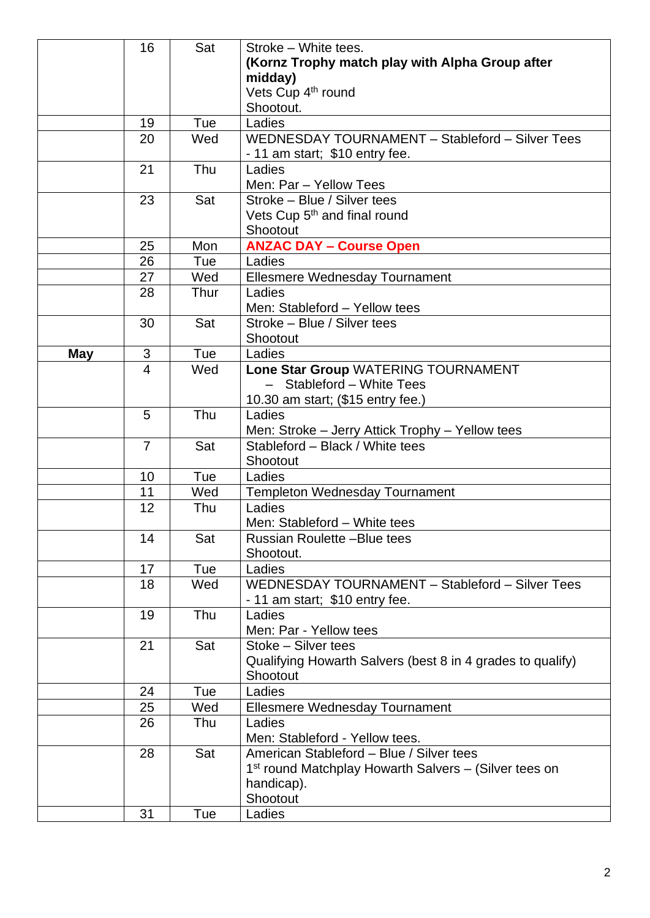|            | 16             | Sat  | Stroke - White tees.                                                                         |  |  |
|------------|----------------|------|----------------------------------------------------------------------------------------------|--|--|
|            |                |      | (Kornz Trophy match play with Alpha Group after<br>midday)<br>Vets Cup 4 <sup>th</sup> round |  |  |
|            |                |      |                                                                                              |  |  |
|            |                |      |                                                                                              |  |  |
|            |                |      | Shootout.                                                                                    |  |  |
|            | 19             | Tue  | Ladies                                                                                       |  |  |
|            | 20             | Wed  | WEDNESDAY TOURNAMENT - Stableford - Silver Tees                                              |  |  |
|            |                |      | - 11 am start; \$10 entry fee.                                                               |  |  |
|            | 21             | Thu  | Ladies                                                                                       |  |  |
|            |                |      | Men: Par - Yellow Tees                                                                       |  |  |
|            | 23             | Sat  | Stroke - Blue / Silver tees                                                                  |  |  |
|            |                |      | Vets Cup 5 <sup>th</sup> and final round                                                     |  |  |
|            |                |      | Shootout                                                                                     |  |  |
|            | 25             | Mon  | <b>ANZAC DAY - Course Open</b>                                                               |  |  |
|            | 26             | Tue  | Ladies                                                                                       |  |  |
|            | 27             | Wed  | Ellesmere Wednesday Tournament                                                               |  |  |
|            | 28             | Thur | Ladies                                                                                       |  |  |
|            |                |      | Men: Stableford - Yellow tees                                                                |  |  |
|            | 30             | Sat  | Stroke - Blue / Silver tees                                                                  |  |  |
|            |                |      | Shootout                                                                                     |  |  |
| <b>May</b> | 3              | Tue  | Ladies                                                                                       |  |  |
|            | 4              | Wed  | Lone Star Group WATERING TOURNAMENT                                                          |  |  |
|            |                |      | - Stableford - White Tees                                                                    |  |  |
|            |                |      | 10.30 am start; (\$15 entry fee.)                                                            |  |  |
|            | 5              | Thu  | Ladies                                                                                       |  |  |
|            |                |      | Men: Stroke - Jerry Attick Trophy - Yellow tees                                              |  |  |
|            | $\overline{7}$ | Sat  | Stableford - Black / White tees                                                              |  |  |
|            |                |      | Shootout                                                                                     |  |  |
|            | 10             | Tue  | Ladies                                                                                       |  |  |
|            | 11             | Wed  | <b>Templeton Wednesday Tournament</b>                                                        |  |  |
|            | 12             | Thu  | Ladies                                                                                       |  |  |
|            |                |      | Men: Stableford - White tees                                                                 |  |  |
|            | 14             | Sat  | Russian Roulette - Blue tees                                                                 |  |  |
|            |                |      | Shootout.                                                                                    |  |  |
|            | 17             | Tue  | Ladies                                                                                       |  |  |
|            | 18             | Wed  | WEDNESDAY TOURNAMENT - Stableford - Silver Tees                                              |  |  |
|            |                |      | - 11 am start; \$10 entry fee.                                                               |  |  |
|            | 19             | Thu  | Ladies                                                                                       |  |  |
|            |                |      | Men: Par - Yellow tees                                                                       |  |  |
|            | 21             | Sat  | Stoke - Silver tees                                                                          |  |  |
|            |                |      | Qualifying Howarth Salvers (best 8 in 4 grades to qualify)                                   |  |  |
|            |                |      | Shootout                                                                                     |  |  |
|            | 24             | Tue  | Ladies                                                                                       |  |  |
|            | 25             | Wed  | <b>Ellesmere Wednesday Tournament</b>                                                        |  |  |
|            | 26             | Thu  | Ladies                                                                                       |  |  |
|            |                |      | Men: Stableford - Yellow tees.                                                               |  |  |
|            | 28             | Sat  | American Stableford - Blue / Silver tees                                                     |  |  |
|            |                |      | 1 <sup>st</sup> round Matchplay Howarth Salvers – (Silver tees on                            |  |  |
|            |                |      | handicap).                                                                                   |  |  |
|            |                |      | Shootout                                                                                     |  |  |
|            | 31             | Tue  | Ladies                                                                                       |  |  |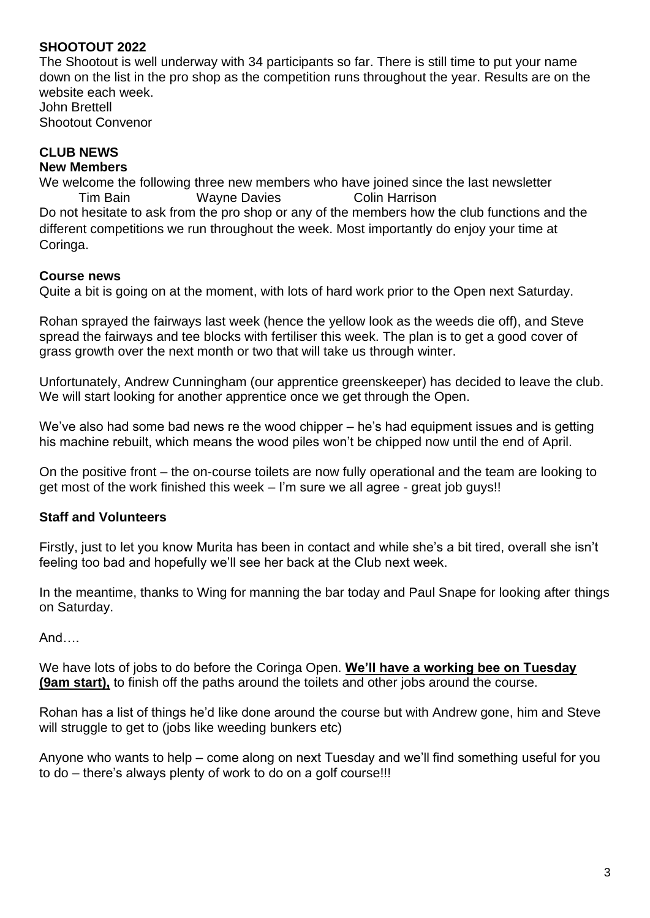#### **SHOOTOUT 2022**

The Shootout is well underway with 34 participants so far. There is still time to put your name down on the list in the pro shop as the competition runs throughout the year. Results are on the website each week John Brettell

Shootout Convenor

#### **CLUB NEWS New Members**

We welcome the following three new members who have joined since the last newsletter **Tim Bain** Wayne Davies **Colin Harrison** Do not hesitate to ask from the pro shop or any of the members how the club functions and the different competitions we run throughout the week. Most importantly do enjoy your time at Coringa.

#### **Course news**

Quite a bit is going on at the moment, with lots of hard work prior to the Open next Saturday.

Rohan sprayed the fairways last week (hence the yellow look as the weeds die off), and Steve spread the fairways and tee blocks with fertiliser this week. The plan is to get a good cover of grass growth over the next month or two that will take us through winter.

Unfortunately, Andrew Cunningham (our apprentice greenskeeper) has decided to leave the club. We will start looking for another apprentice once we get through the Open.

We've also had some bad news re the wood chipper – he's had equipment issues and is getting his machine rebuilt, which means the wood piles won't be chipped now until the end of April.

On the positive front – the on-course toilets are now fully operational and the team are looking to get most of the work finished this week – I'm sure we all agree - great job guys!!

#### **Staff and Volunteers**

Firstly, just to let you know Murita has been in contact and while she's a bit tired, overall she isn't feeling too bad and hopefully we'll see her back at the Club next week.

In the meantime, thanks to Wing for manning the bar today and Paul Snape for looking after things on Saturday.

And….

We have lots of jobs to do before the Coringa Open. **We'll have a working bee on Tuesday (9am start),** to finish off the paths around the toilets and other jobs around the course.

Rohan has a list of things he'd like done around the course but with Andrew gone, him and Steve will struggle to get to (jobs like weeding bunkers etc)

Anyone who wants to help – come along on next Tuesday and we'll find something useful for you to do – there's always plenty of work to do on a golf course!!!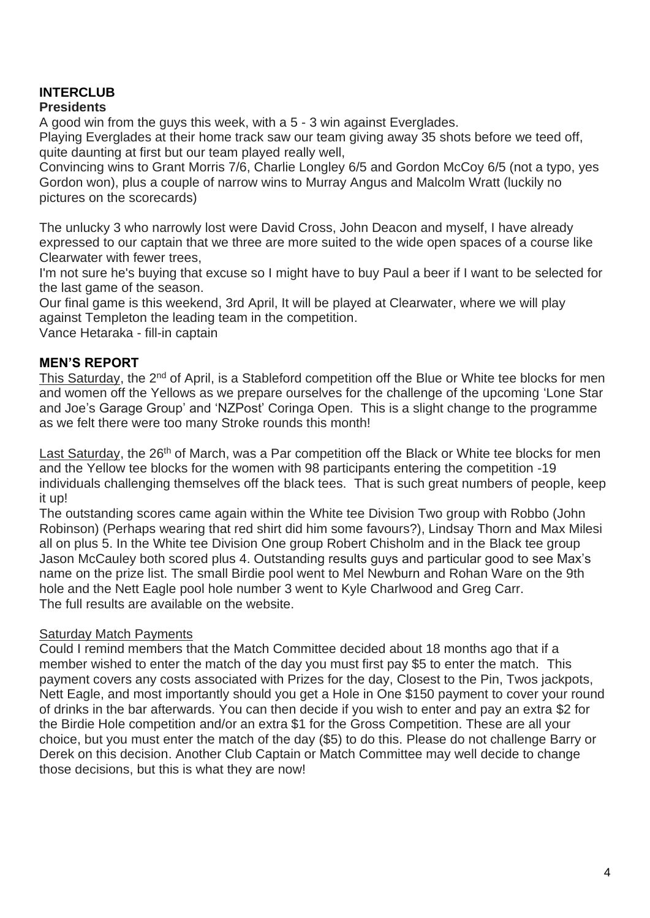# **INTERCLUB**

## **Presidents**

A good win from the guys this week, with a 5 - 3 win against Everglades.

Playing Everglades at their home track saw our team giving away 35 shots before we teed off, quite daunting at first but our team played really well,

Convincing wins to Grant Morris 7/6, Charlie Longley 6/5 and Gordon McCoy 6/5 (not a typo, yes Gordon won), plus a couple of narrow wins to Murray Angus and Malcolm Wratt (luckily no pictures on the scorecards)

The unlucky 3 who narrowly lost were David Cross, John Deacon and myself, I have already expressed to our captain that we three are more suited to the wide open spaces of a course like Clearwater with fewer trees,

I'm not sure he's buying that excuse so I might have to buy Paul a beer if I want to be selected for the last game of the season.

Our final game is this weekend, 3rd April, It will be played at Clearwater, where we will play against Templeton the leading team in the competition.

Vance Hetaraka - fill-in captain

## **MEN'S REPORT**

This Saturday, the 2<sup>nd</sup> of April, is a Stableford competition off the Blue or White tee blocks for men and women off the Yellows as we prepare ourselves for the challenge of the upcoming 'Lone Star and Joe's Garage Group' and 'NZPost' Coringa Open. This is a slight change to the programme as we felt there were too many Stroke rounds this month!

Last Saturday, the 26<sup>th</sup> of March, was a Par competition off the Black or White tee blocks for men and the Yellow tee blocks for the women with 98 participants entering the competition -19 individuals challenging themselves off the black tees. That is such great numbers of people, keep it up!

The outstanding scores came again within the White tee Division Two group with Robbo (John Robinson) (Perhaps wearing that red shirt did him some favours?), Lindsay Thorn and Max Milesi all on plus 5. In the White tee Division One group Robert Chisholm and in the Black tee group Jason McCauley both scored plus 4. Outstanding results guys and particular good to see Max's name on the prize list. The small Birdie pool went to Mel Newburn and Rohan Ware on the 9th hole and the Nett Eagle pool hole number 3 went to Kyle Charlwood and Greg Carr. The full results are available on the website.

#### Saturday Match Payments

Could I remind members that the Match Committee decided about 18 months ago that if a member wished to enter the match of the day you must first pay \$5 to enter the match. This payment covers any costs associated with Prizes for the day, Closest to the Pin, Twos jackpots, Nett Eagle, and most importantly should you get a Hole in One \$150 payment to cover your round of drinks in the bar afterwards. You can then decide if you wish to enter and pay an extra \$2 for the Birdie Hole competition and/or an extra \$1 for the Gross Competition. These are all your choice, but you must enter the match of the day (\$5) to do this. Please do not challenge Barry or Derek on this decision. Another Club Captain or Match Committee may well decide to change those decisions, but this is what they are now!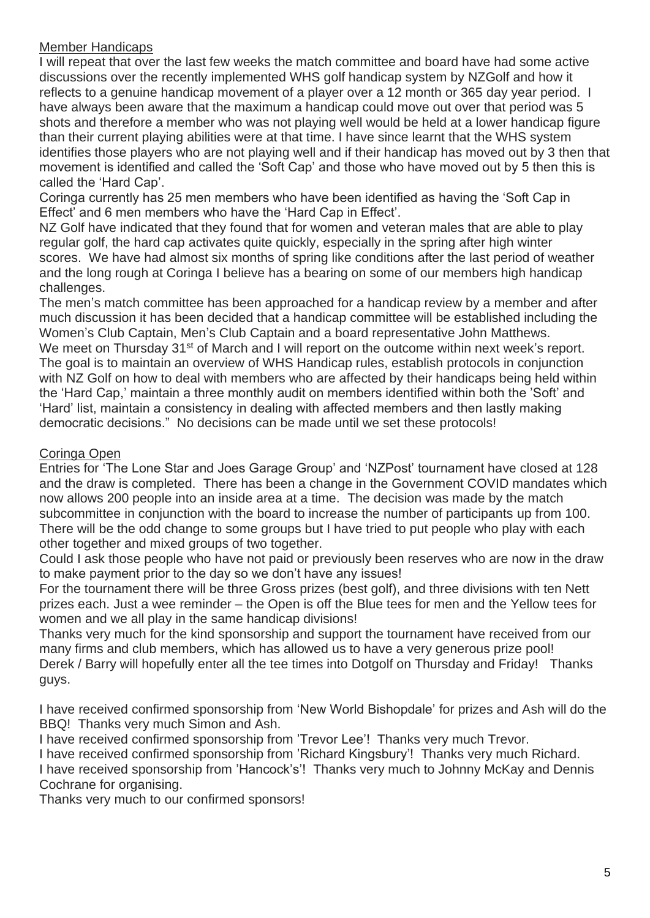#### Member Handicaps

I will repeat that over the last few weeks the match committee and board have had some active discussions over the recently implemented WHS golf handicap system by NZGolf and how it reflects to a genuine handicap movement of a player over a 12 month or 365 day year period. I have always been aware that the maximum a handicap could move out over that period was 5 shots and therefore a member who was not playing well would be held at a lower handicap figure than their current playing abilities were at that time. I have since learnt that the WHS system identifies those players who are not playing well and if their handicap has moved out by 3 then that movement is identified and called the 'Soft Cap' and those who have moved out by 5 then this is called the 'Hard Cap'.

Coringa currently has 25 men members who have been identified as having the 'Soft Cap in Effect' and 6 men members who have the 'Hard Cap in Effect'.

NZ Golf have indicated that they found that for women and veteran males that are able to play regular golf, the hard cap activates quite quickly, especially in the spring after high winter scores. We have had almost six months of spring like conditions after the last period of weather and the long rough at Coringa I believe has a bearing on some of our members high handicap challenges.

The men's match committee has been approached for a handicap review by a member and after much discussion it has been decided that a handicap committee will be established including the Women's Club Captain, Men's Club Captain and a board representative John Matthews. We meet on Thursday 31<sup>st</sup> of March and I will report on the outcome within next week's report. The goal is to maintain an overview of WHS Handicap rules, establish protocols in conjunction with NZ Golf on how to deal with members who are affected by their handicaps being held within the 'Hard Cap,' maintain a three monthly audit on members identified within both the 'Soft' and 'Hard' list, maintain a consistency in dealing with affected members and then lastly making democratic decisions." No decisions can be made until we set these protocols!

#### Coringa Open

Entries for 'The Lone Star and Joes Garage Group' and 'NZPost' tournament have closed at 128 and the draw is completed. There has been a change in the Government COVID mandates which now allows 200 people into an inside area at a time. The decision was made by the match subcommittee in conjunction with the board to increase the number of participants up from 100. There will be the odd change to some groups but I have tried to put people who play with each other together and mixed groups of two together.

Could I ask those people who have not paid or previously been reserves who are now in the draw to make payment prior to the day so we don't have any issues!

For the tournament there will be three Gross prizes (best golf), and three divisions with ten Nett prizes each. Just a wee reminder – the Open is off the Blue tees for men and the Yellow tees for women and we all play in the same handicap divisions!

Thanks very much for the kind sponsorship and support the tournament have received from our many firms and club members, which has allowed us to have a very generous prize pool! Derek / Barry will hopefully enter all the tee times into Dotgolf on Thursday and Friday! Thanks guys.

I have received confirmed sponsorship from 'New World Bishopdale' for prizes and Ash will do the BBQ! Thanks very much Simon and Ash.

I have received confirmed sponsorship from 'Trevor Lee'! Thanks very much Trevor.

I have received confirmed sponsorship from 'Richard Kingsbury'! Thanks very much Richard. I have received sponsorship from 'Hancock's'! Thanks very much to Johnny McKay and Dennis Cochrane for organising.

Thanks very much to our confirmed sponsors!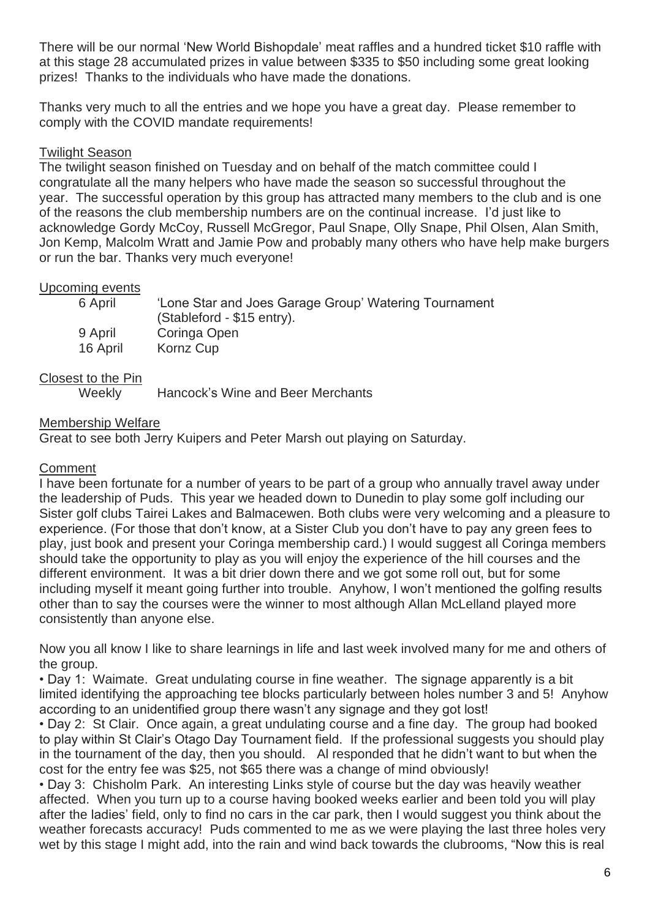There will be our normal 'New World Bishopdale' meat raffles and a hundred ticket \$10 raffle with at this stage 28 accumulated prizes in value between \$335 to \$50 including some great looking prizes! Thanks to the individuals who have made the donations.

Thanks very much to all the entries and we hope you have a great day. Please remember to comply with the COVID mandate requirements!

#### Twilight Season

The twilight season finished on Tuesday and on behalf of the match committee could I congratulate all the many helpers who have made the season so successful throughout the year. The successful operation by this group has attracted many members to the club and is one of the reasons the club membership numbers are on the continual increase. I'd just like to acknowledge Gordy McCoy, Russell McGregor, Paul Snape, Olly Snape, Phil Olsen, Alan Smith, Jon Kemp, Malcolm Wratt and Jamie Pow and probably many others who have help make burgers or run the bar. Thanks very much everyone!

#### Upcoming events

| 6 April  | 'Lone Star and Joes Garage Group' Watering Tournament<br>(Stableford - \$15 entry). |
|----------|-------------------------------------------------------------------------------------|
| 9 April  | Coringa Open                                                                        |
| 16 April | Kornz Cup                                                                           |

#### Closest to the Pin

Weekly Hancock's Wine and Beer Merchants

#### Membership Welfare

Great to see both Jerry Kuipers and Peter Marsh out playing on Saturday.

#### **Comment**

I have been fortunate for a number of years to be part of a group who annually travel away under the leadership of Puds. This year we headed down to Dunedin to play some golf including our Sister golf clubs Tairei Lakes and Balmacewen. Both clubs were very welcoming and a pleasure to experience. (For those that don't know, at a Sister Club you don't have to pay any green fees to play, just book and present your Coringa membership card.) I would suggest all Coringa members should take the opportunity to play as you will enjoy the experience of the hill courses and the different environment. It was a bit drier down there and we got some roll out, but for some including myself it meant going further into trouble. Anyhow, I won't mentioned the golfing results other than to say the courses were the winner to most although Allan McLelland played more consistently than anyone else.

Now you all know I like to share learnings in life and last week involved many for me and others of the group.

• Day 1: Waimate. Great undulating course in fine weather. The signage apparently is a bit limited identifying the approaching tee blocks particularly between holes number 3 and 5! Anyhow according to an unidentified group there wasn't any signage and they got lost!

• Day 2: St Clair. Once again, a great undulating course and a fine day. The group had booked to play within St Clair's Otago Day Tournament field. If the professional suggests you should play in the tournament of the day, then you should. Al responded that he didn't want to but when the cost for the entry fee was \$25, not \$65 there was a change of mind obviously!

• Day 3: Chisholm Park. An interesting Links style of course but the day was heavily weather affected. When you turn up to a course having booked weeks earlier and been told you will play after the ladies' field, only to find no cars in the car park, then I would suggest you think about the weather forecasts accuracy! Puds commented to me as we were playing the last three holes very wet by this stage I might add, into the rain and wind back towards the clubrooms, "Now this is real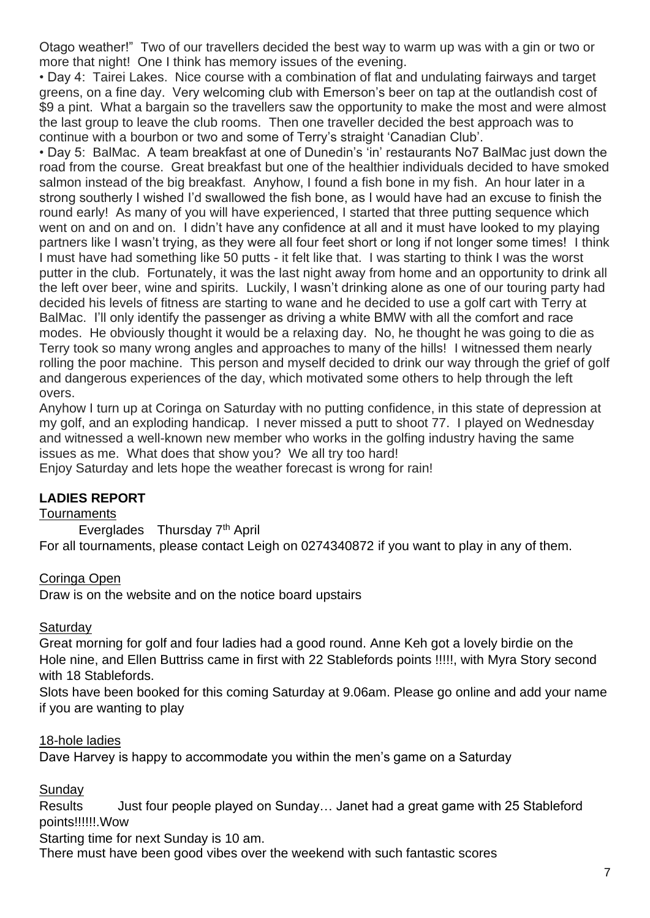Otago weather!" Two of our travellers decided the best way to warm up was with a gin or two or more that night! One I think has memory issues of the evening.

• Day 4: Tairei Lakes. Nice course with a combination of flat and undulating fairways and target greens, on a fine day. Very welcoming club with Emerson's beer on tap at the outlandish cost of \$9 a pint. What a bargain so the travellers saw the opportunity to make the most and were almost the last group to leave the club rooms. Then one traveller decided the best approach was to continue with a bourbon or two and some of Terry's straight 'Canadian Club'.

• Day 5: BalMac. A team breakfast at one of Dunedin's 'in' restaurants No7 BalMac just down the road from the course. Great breakfast but one of the healthier individuals decided to have smoked salmon instead of the big breakfast. Anyhow, I found a fish bone in my fish. An hour later in a strong southerly I wished I'd swallowed the fish bone, as I would have had an excuse to finish the round early! As many of you will have experienced, I started that three putting sequence which went on and on and on. I didn't have any confidence at all and it must have looked to my playing partners like I wasn't trying, as they were all four feet short or long if not longer some times! I think I must have had something like 50 putts - it felt like that. I was starting to think I was the worst putter in the club. Fortunately, it was the last night away from home and an opportunity to drink all the left over beer, wine and spirits. Luckily, I wasn't drinking alone as one of our touring party had decided his levels of fitness are starting to wane and he decided to use a golf cart with Terry at BalMac. I'll only identify the passenger as driving a white BMW with all the comfort and race modes. He obviously thought it would be a relaxing day. No, he thought he was going to die as Terry took so many wrong angles and approaches to many of the hills! I witnessed them nearly rolling the poor machine. This person and myself decided to drink our way through the grief of golf and dangerous experiences of the day, which motivated some others to help through the left overs.

Anyhow I turn up at Coringa on Saturday with no putting confidence, in this state of depression at my golf, and an exploding handicap. I never missed a putt to shoot 77. I played on Wednesday and witnessed a well-known new member who works in the golfing industry having the same issues as me. What does that show you? We all try too hard!

Enjoy Saturday and lets hope the weather forecast is wrong for rain!

#### **LADIES REPORT**

#### **Tournaments**

Everglades Thursday 7th April For all tournaments, please contact Leigh on 0274340872 if you want to play in any of them.

#### Coringa Open

Draw is on the website and on the notice board upstairs

#### **Saturday**

Great morning for golf and four ladies had a good round. Anne Keh got a lovely birdie on the Hole nine, and Ellen Buttriss came in first with 22 Stablefords points !!!!!, with Myra Story second with 18 Stablefords.

Slots have been booked for this coming Saturday at 9.06am. Please go online and add your name if you are wanting to play

#### 18-hole ladies

Dave Harvey is happy to accommodate you within the men's game on a Saturday

#### **Sundav**

Results Just four people played on Sunday... Janet had a great game with 25 Stableford points!!!!!!.Wow

Starting time for next Sunday is 10 am.

There must have been good vibes over the weekend with such fantastic scores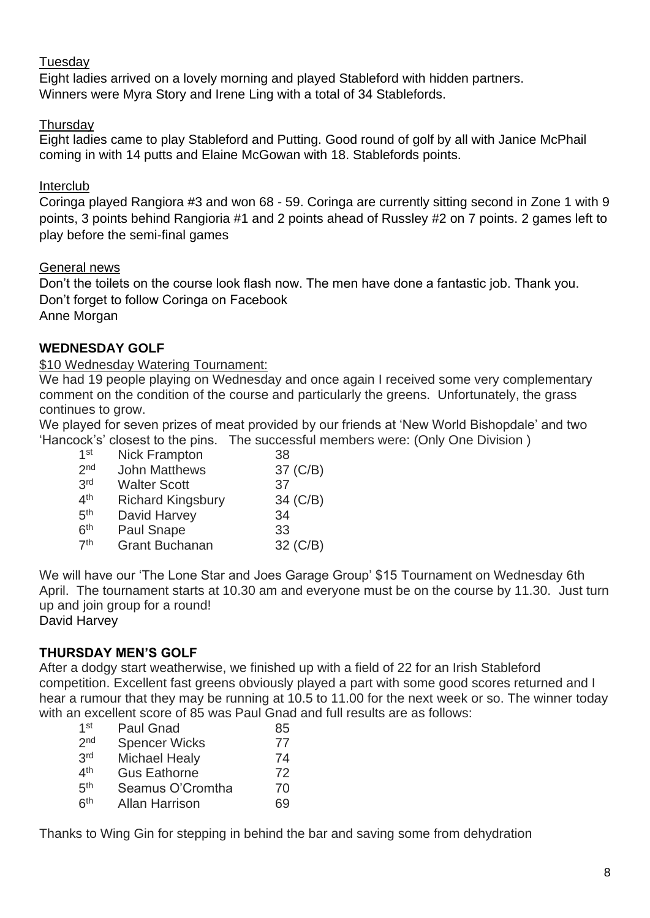#### **Tuesday**

Eight ladies arrived on a lovely morning and played Stableford with hidden partners. Winners were Myra Story and Irene Ling with a total of 34 Stablefords.

## **Thursday**

Eight ladies came to play Stableford and Putting. Good round of golf by all with Janice McPhail coming in with 14 putts and Elaine McGowan with 18. Stablefords points.

## Interclub

Coringa played Rangiora #3 and won 68 - 59. Coringa are currently sitting second in Zone 1 with 9 points, 3 points behind Rangioria #1 and 2 points ahead of Russley #2 on 7 points. 2 games left to play before the semi-final games

#### General news

Don't the toilets on the course look flash now. The men have done a fantastic job. Thank you. Don't forget to follow Coringa on Facebook Anne Morgan

## **WEDNESDAY GOLF**

\$10 Wednesday Watering Tournament:

We had 19 people playing on Wednesday and once again I received some very complementary comment on the condition of the course and particularly the greens. Unfortunately, the grass continues to grow.

We played for seven prizes of meat provided by our friends at 'New World Bishopdale' and two 'Hancock's' closest to the pins. The successful members were: (Only One Division )

| <b>Nick Frampton</b>     | 38       |
|--------------------------|----------|
| <b>John Matthews</b>     | 37 (C/B) |
| <b>Walter Scott</b>      | 37       |
| <b>Richard Kingsbury</b> | 34 (C/B) |
| David Harvey             | 34       |
| Paul Snape               | 33       |
| <b>Grant Buchanan</b>    | 32 (C/B) |
|                          |          |

We will have our 'The Lone Star and Joes Garage Group' \$15 Tournament on Wednesday 6th April. The tournament starts at 10.30 am and everyone must be on the course by 11.30. Just turn up and join group for a round!

David Harvey

## **THURSDAY MEN'S GOLF**

After a dodgy start weatherwise, we finished up with a field of 22 for an Irish Stableford competition. Excellent fast greens obviously played a part with some good scores returned and I hear a rumour that they may be running at 10.5 to 11.00 for the next week or so. The winner today with an excellent score of 85 was Paul Gnad and full results are as follows:

| 1 <sup>st</sup> | <b>Paul Gnad</b>      | 85  |
|-----------------|-----------------------|-----|
| 2 <sub>nd</sub> | <b>Spencer Wicks</b>  | 77  |
| 3rd             | <b>Michael Healy</b>  | 74  |
| 4 <sup>th</sup> | <b>Gus Eathorne</b>   | 72  |
| 5 <sup>th</sup> | Seamus O'Cromtha      | 70  |
| 6 <sup>th</sup> | <b>Allan Harrison</b> | 69. |

Thanks to Wing Gin for stepping in behind the bar and saving some from dehydration